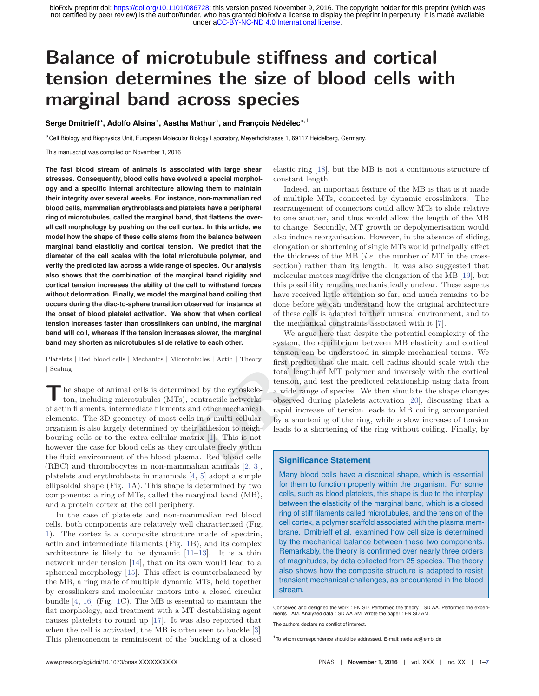# **Balance of microtubule stiffness and cortical tension determines the size of blood cells with marginal band across species**

**Serge Dmitrieff**a**, Adolfo Alsina**a**, Aastha Mathur**a**, and François Nédélec**a,1

aCell Biology and Biophysics Unit, European Molecular Biology Laboratory, Meyerhofstrasse 1, 69117 Heidelberg, Germany.

This manuscript was compiled on November 1, 2016

**The fast blood stream of animals is associated with large shear stresses. Consequently, blood cells have evolved a special morphology and a specific internal architecture allowing them to maintain their integrity over several weeks. For instance, non-mammalian red blood cells, mammalian erythroblasts and platelets have a peripheral ring of microtubules, called the marginal band, that flattens the overall cell morphology by pushing on the cell cortex. In this article, we model how the shape of these cells stems from the balance between marginal band elasticity and cortical tension. We predict that the diameter of the cell scales with the total microtubule polymer, and verify the predicted law across a wide range of species. Our analysis also shows that the combination of the marginal band rigidity and cortical tension increases the ability of the cell to withstand forces without deformation. Finally, we model the marginal band coiling that occurs during the disc-to-sphere transition observed for instance at the onset of blood platelet activation. We show that when cortical tension increases faster than crosslinkers can unbind, the marginal band will coil, whereas if the tension increases slower, the marginal band may shorten as microtubules slide relative to each other.**

Platelets | Red blood cells | Mechanics | Microtubules | Actin | Theory | Scaling

**T**he shape of animal cells is determined by the cytoskeleton, including microtubules (MTs), contractile networks of actin filaments, intermediate filaments and other mechanical elements. The 3D geometry of most cells in a multi-cellular organism is also largely determined by their adhesion to neighbouring cells or to the extra-cellular matrix [1]. This is not however the case for blood cells as they circulate freely within the fluid environment of the blood plasma. Red blood cells (RBC) and thrombocytes in non-mammalian animals [2, 3], platelets and erythroblasts in mammals [4, 5] adopt a simple ellipsoidal shape (Fig. 1A). This shape is determined by two components: a ring of MTs, called the marginal band (MB), and a protein cortex at the cell periphery.

In the case of platelets and non-mammalian red blood cells, both components are relatively well characterized (Fig. 1). The cortex is a composite structure made of spectrin, actin and intermediate filaments (Fig. 1B), and its complex architecture is likely to be dynamic [11–13]. It is a thin network under tension [14], that on its own would lead to a spherical morphology [15]. This effect is counterbalanced by the MB, a ring made of multiple dynamic MTs, held together by crosslinkers and molecular motors into a closed circular bundle [4, 16] (Fig. 1C). The MB is essential to maintain the flat morphology, and treatment with a MT destabilising agent causes platelets to round up [17]. It was also reported that when the cell is activated, the MB is often seen to buckle [3]. This phenomenon is reminiscent of the buckling of a closed

elastic ring [18], but the MB is not a continuous structure of constant length.

Indeed, an important feature of the MB is that is it made of multiple MTs, connected by dynamic crosslinkers. The rearrangement of connectors could allow MTs to slide relative to one another, and thus would allow the length of the MB to change. Secondly, MT growth or depolymerisation would also induce reorganisation. However, in the absence of sliding, elongation or shortening of single MTs would principally affect the thickness of the MB (*i.e.* the number of MT in the crosssection) rather than its length. It was also suggested that molecular motors may drive the elongation of the MB [19], but this possibility remains mechanistically unclear. These aspects have received little attention so far, and much remains to be done before we can understand how the original architecture of these cells is adapted to their unusual environment, and to the mechanical constraints associated with it [7].

**Exercise**<br> **DRAFT**<br> **DRAFTREND AND SECUTE THE TRAFF CHATES THE AND THEMAT SET AND THE SET AND THE SET AND THE INTERNATION THE SET AND THE INTERNATION THE MATHOLOGY THE MATHOLOGY AND THE MATHOLOGY AND THE SET AND THE USE I** We argue here that despite the potential complexity of the system, the equilibrium between MB elasticity and cortical tension can be understood in simple mechanical terms. We first predict that the main cell radius should scale with the total length of MT polymer and inversely with the cortical tension, and test the predicted relationship using data from a wide range of species. We then simulate the shape changes observed during platelets activation [20], discussing that a rapid increase of tension leads to MB coiling accompanied by a shortening of the ring, while a slow increase of tension leads to a shortening of the ring without coiling. Finally, by

## **Significance Statement**

Many blood cells have a discoidal shape, which is essential for them to function properly within the organism. For some cells, such as blood platelets, this shape is due to the interplay between the elasticity of the marginal band, which is a closed ring of stiff filaments called microtubules, and the tension of the cell cortex, a polymer scaffold associated with the plasma membrane. Dmitrieff et al. examined how cell size is determined by the mechanical balance between these two components. Remarkably, the theory is confirmed over nearly three orders of magnitudes, by data collected from 25 species. The theory also shows how the composite structure is adapted to resist transient mechanical challenges, as encountered in the blood stream.

Conceived and designed the work : FN SD. Performed the theory : SD AA. Performed the experiments : AM. Analyzed data : SD AA AM. Wrote the paper : FN SD AM.

The authors declare no conflict of interest.

<sup>1</sup>To whom correspondence should be addressed. E-mail: nedelec@embl.de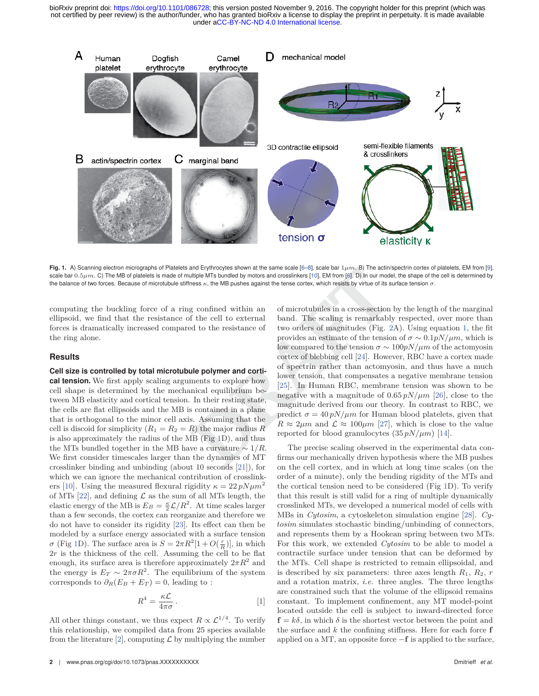

**Fig. 1.** A) Scanning electron micrographs of Platelets and Erythrocytes shown at the same scale [6–8], scale bar 1*μm*. B) The actin/spectrin cortex of platelets, EM from [9], scale bar 0.5 $\mu$ m. C) The MB of platelets is made of multiple MTs bundled by motors and crosslinkers [10], EM from [6]. D) In our model, the shape of the cell is determined by the balance of two forces. Because of microtubule stiffness *κ*, the MB pushes against the tense cortex, which resists by virtue of its surface tension *σ*.

computing the buckling force of a ring confined within an ellipsoid, we find that the resistance of the cell to external forces is dramatically increased compared to the resistance of the ring alone.

### **Results**

**Cell size is controlled by total microtubule polymer and cortical tension.** We first apply scaling arguments to explore how cell shape is determined by the mechanical equilibrium between MB elasticity and cortical tension. In their resting state, the cells are flat ellipsoids and the MB is contained in a plane that is orthogonal to the minor cell axis. Assuming that the cell is discoid for simplicity  $(R_1 = R_2 = R)$  the major radius  $R$ is also approximately the radius of the MB (Fig 1D), and thus the MTs bundled together in the MB have a curvature  $\sim 1/R$ . We first consider timescales larger than the dynamics of MT crosslinker binding and unbinding (about 10 seconds [21]), for which we can ignore the mechanical contribution of crosslinkers [10]. Using the measured flexural rigidity  $\kappa = 22 pN \mu m^2$ of MTs [22], and defining  $\mathcal L$  as the sum of all MTs length, the elastic energy of the MB is  $E_B = \frac{\kappa}{2} \mathcal{L}/R^2$ . At time scales larger than a few seconds, the cortex can reorganize and therefore we do not have to consider its rigidity [23]. Its effect can then be modeled by a surface energy associated with a surface tension *σ* (Fig 1D). The surface area is  $S = 2\pi R^2[1 + O(\frac{r}{R})]$ , in which 2*r* is the thickness of the cell. Assuming the cell to be flat enough, its surface area is therefore approximately  $2\pi R^2$  and the energy is  $E_T \sim 2\pi \sigma R^2$ . The equilibrium of the system corresponds to  $\partial_R(E_B + E_T) = 0$ , leading to :

$$
R^4 = \frac{\kappa \mathcal{L}}{4\pi \sigma} \,. \tag{1}
$$

All other things constant, we thus expect  $R \propto \mathcal{L}^{1/4}$ . To verify this relationship, we compiled data from 25 species available from the literature [2], computing  $\mathcal L$  by multiplying the number

and **Erythrocytes shown at the same scale [b**-8], scale bar 1 $\mu$ m. B) the actum-<br>
ditiple MTs bundled by motors and crosslinkers [10], EM from [6]. D) In our modes<br>
sess  $\kappa$ , the MB pushes against the tense cortex, whi of microtubules in a cross-section by the length of the marginal band. The scaling is remarkably respected, over more than two orders of magnitudes (Fig. 2A). Using equation 1, the fit provides an estimate of the tension of  $\sigma \sim 0.1 pN/\mu m$ , which is low compared to the tension  $\sigma \sim 100 pN/\mu m$  of the actomyosin cortex of blebbing cell [24]. However, RBC have a cortex made of spectrin rather than actomyosin, and thus have a much lower tension, that compensates a negative membrane tension [25]. In Human RBC, membrane tension was shown to be negative with a magnitude of 0*.*65 *pN/μm* [26], close to the magnitude derived from our theory. In contrast to RBC, we predict  $\sigma = 40 pN/\mu m$  for Human blood platelets, given that  $R \approx 2 \mu m$  and  $\mathcal{L} \approx 100 \mu m$  [27], which is close to the value reported for blood granulocytes  $(35 pN/\mu m)$  [14].

The precise scaling observed in the experimental data confirms our mechanically driven hypothesis where the MB pushes on the cell cortex, and in which at long time scales (on the order of a minute), only the bending rigidity of the MTs and the cortical tension need to be considered (Fig 1D). To verify that this result is still valid for a ring of multiple dynamically crosslinked MTs, we developed a numerical model of cells with MBs in *Cytosim*, a cytoskeleton simulation engine [28]. *Cytosim* simulates stochastic binding/unbinding of connectors, and represents them by a Hookean spring between two MTs. For this work, we extended *Cytosim* to be able to model a contractile surface under tension that can be deformed by the MTs. Cell shape is restricted to remain ellipsoidal, and is described by six parameters: three axes length  $R_1$ ,  $R_2$ ,  $r$ and a rotation matrix, *i.e.* three angles. The three lengths are constrained such that the volume of the ellipsoid remains constant. To implement confinement, any MT model-point located outside the cell is subject to inward-directed force  $f = k\delta$ , in which  $\delta$  is the shortest vector between the point and the surface and *k* the confining stiffness. Here for each force **f** applied on a MT, an opposite force −**f** is applied to the surface,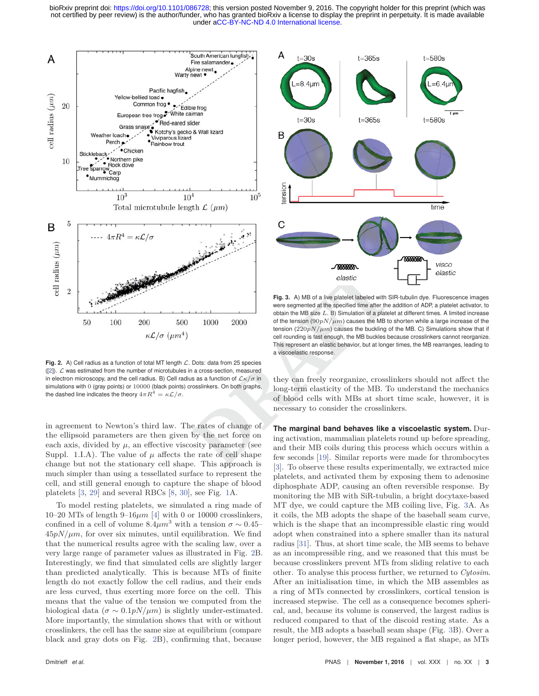

Fig. 2. A) Cell radius as a function of total MT length  $\mathcal{L}$ . Dots: data from 25 species  $([2])$ .  $\mathcal L$  was estimated from the number of microtubules in a cross-section, measured in electron microscopy, and the cell radius. B) Cell radius as a function of L*κ/σ* in simulations with 0 (gray points) or 10000 (black points) crosslinkers. On both graphs, the dashed line indicates the theory  $4\pi R^4 = \kappa \mathcal{L}/\sigma$ .

in agreement to Newton's third law. The rates of change of the ellipsoid parameters are then given by the net force on each axis, divided by  $\mu$ , an effective viscosity parameter (see Suppl. 1.I.A). The value of  $\mu$  affects the rate of cell shape change but not the stationary cell shape. This approach is much simpler than using a tessellated surface to represent the cell, and still general enough to capture the shape of blood platelets [3, 29] and several RBCs [8, 30], see Fig. 1A.

To model resting platelets, we simulated a ring made of 10–20 MTs of length 9–16 $\mu$ m [4] with 0 or 10000 crosslinkers, confined in a cell of volume  $8.4 \mu m^3$  with a tension  $\sigma \sim 0.45$ –  $45pN/\mu m$ , for over six minutes, until equilibration. We find that the numerical results agree with the scaling law, over a very large range of parameter values as illustrated in Fig. 2B. Interestingly, we find that simulated cells are slightly larger than predicted analytically. This is because MTs of finite length do not exactly follow the cell radius, and their ends are less curved, thus exerting more force on the cell. This means that the value of the tension we computed from the biological data ( $\sigma \sim 0.1 pN/\mu m$ ) is slightly under-estimated. More importantly, the simulation shows that with or without crosslinkers, the cell has the same size at equilibrium (compare black and gray dots on Fig. 2B), confirming that, because



**DESERVANCE THE CONSULTER CONSULTER AND ACT CALCE CALCE CALCE CALCE CALCE CALCE CALCE THE CONSULTER CALCE CALCE CALCE CALCE CALCE CALCE CALCE CALCE CALCE CALCE CALCE CALCE CALCE CALCE CALCE CALCE CALCE CALCE CALCE CALCE C Fig. 3.** A) MB of a live platelet labeled with SIR-tubulin dye. Fluorescence images were segmented at the specified time after the addition of ADP, a platelet activator, to obtain the MB size *L*. B) Simulation of a platelet at different times. A limited increase of the tension  $(90pN/\mu m)$  causes the MB to shorten while a large increase of the tension  $(220pN/\mu m)$  causes the buckling of the MB. C) Simulations show that if cell rounding is fast enough, the MB buckles because crosslinkers cannot reorganize. This represent an elastic behavior, but at longer times, the MB rearranges, leading to a viscoelastic response.

they can freely reorganize, crosslinkers should not affect the long-term elasticity of the MB. To understand the mechanics of blood cells with MBs at short time scale, however, it is necessary to consider the crosslinkers.

**The marginal band behaves like a viscoelastic system.** During activation, mammalian platelets round up before spreading, and their MB coils during this process which occurs within a few seconds [19]. Similar reports were made for thrombocytes [3]. To observe these results experimentally, we extracted mice platelets, and activated them by exposing them to adenosine diphosphate ADP, causing an often reversible response. By monitoring the MB with SiR-tubulin, a bright docytaxe-based MT dye, we could capture the MB coiling live, Fig. 3A. As it coils, the MB adopts the shape of the baseball seam curve, which is the shape that an incompressible elastic ring would adopt when constrained into a sphere smaller than its natural radius [31]. Thus, at short time scale, the MB seems to behave as an incompressible ring, and we reasoned that this must be because crosslinkers prevent MTs from sliding relative to each other. To analyse this process further, we returned to *Cytosim*. After an initialisation time, in which the MB assembles as a ring of MTs connected by crosslinkers, cortical tension is increased stepwise. The cell as a consequence becomes spherical, and, because its volume is conserved, the largest radius is reduced compared to that of the discoid resting state. As a result, the MB adopts a baseball seam shape (Fig. 3B). Over a longer period, however, the MB regained a flat shape, as MTs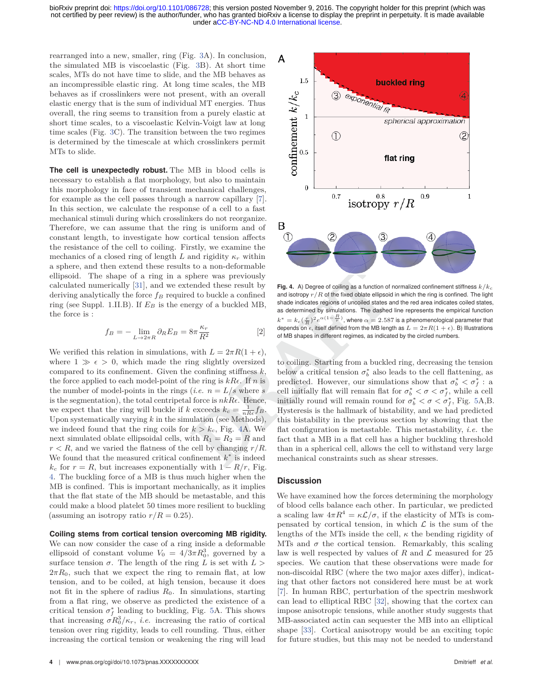rearranged into a new, smaller, ring (Fig. 3A). In conclusion, the simulated MB is viscoelastic (Fig. 3B). At short time scales, MTs do not have time to slide, and the MB behaves as an incompressible elastic ring. At long time scales, the MB behaves as if crosslinkers were not present, with an overall elastic energy that is the sum of individual MT energies. Thus overall, the ring seems to transition from a purely elastic at short time scales, to a viscoelastic Kelvin-Voigt law at long time scales (Fig. 3C). The transition between the two regimes is determined by the timescale at which crosslinkers permit MTs to slide.

**The cell is unexpectedly robust.** The MB in blood cells is necessary to establish a flat morphology, but also to maintain this morphology in face of transient mechanical challenges, for example as the cell passes through a narrow capillary [7]. In this section, we calculate the response of a cell to a fast mechanical stimuli during which crosslinkers do not reorganize. Therefore, we can assume that the ring is uniform and of constant length, to investigate how cortical tension affects the resistance of the cell to coiling. Firstly, we examine the mechanics of a closed ring of length *L* and rigidity  $\kappa_r$  within a sphere, and then extend these results to a non-deformable ellipsoid. The shape of a ring in a sphere was previously calculated numerically [31], and we extended these result by deriving analytically the force  $f_B$  required to buckle a confined ring (see Suppl. 1.II.B). If *E<sup>B</sup>* is the energy of a buckled MB, the force is :

$$
f_B = -\lim_{L \to 2\pi R} \partial_R E_B = 8\pi \frac{\kappa_r}{R^2}
$$
 [2]

We verified this relation in simulations, with  $L = 2\pi R(1 + \epsilon)$ , where  $1 \gg \epsilon > 0$ , which made the ring slightly oversized compared to its confinement. Given the confining stiffness *k*, the force applied to each model-point of the ring is  $kR\epsilon$ . If *n* is the number of model-points in the rings (*i.e.*  $n = L/s$  where *s* is the segmentation), the total centripetal force is  $nkR\epsilon$ . Hence, we expect that the ring will buckle if *k* exceeds  $k_c = \frac{1}{nRe} f_B$ . Upon systematically varying *k* in the simulation (see Methods), we indeed found that the ring coils for  $k > k_c$ , Fig. 4A. We next simulated oblate ellipsoidal cells, with  $R_1 = R_2 = R$  and  $r < R$ , and we varied the flatness of the cell by changing  $r/R$ . We found that the measured critical confinement *k*<sup>∗</sup> is indeed  $k_c$  for  $r = R$ , but increases exponentially with  $1 - R/r$ , Fig. 4. The buckling force of a MB is thus much higher when the MB is confined. This is important mechanically, as it implies that the flat state of the MB should be metastable, and this could make a blood platelet 50 times more resilient to buckling (assuming an isotropy ratio  $r/R = 0.25$ ).

**Coiling stems from cortical tension overcoming MB rigidity.** We can now consider the case of a ring inside a deformable ellipsoid of constant volume  $V_0 = 4/3\pi R_0^3$ , governed by a surface tension  $\sigma$ . The length of the ring *L* is set with  $L >$  $2\pi R_0$ , such that we expect the ring to remain flat, at low tension, and to be coiled, at high tension, because it does not fit in the sphere of radius  $R_0$ . In simulations, starting from a flat ring, we observe as predicted the existence of a critical tension  $\sigma_f^*$  leading to buckling, Fig. 5A. This shows that increasing  $\sigma R_0^3/\kappa_r$ , *i.e.* increasing the ratio of cortical tension over ring rigidity, leads to cell rounding. Thus, either increasing the cortical tension or weakening the ring will lead



**Fig. 4.** A) Degree of coiling as a function of normalized confinement stiffness  $k/k$ and isotropy  $r/R$  of the fixed oblate ellipsoid in which the ring is confined. The light shade indicates regions of uncoiled states and the red area indicates coiled states, as determined by simulations. The dashed line represents the empirical function  $k^* = k_c (\frac{r}{R})^2 e^{\alpha (1-\frac{R}{r})}$ , where  $\alpha = 2.587$  is a phenomenological parameter that depends on  $\epsilon$ , itself defined from the MB length as  $L = 2\pi R(1 + \epsilon)$ . B) Illustrations of MB shapes in different regimes, as indicated by the circled numbers.

For a non-denominable<br>
and these result by<br>
Fig. 4. A) Degree of colling as a function of<br>
d to buckle a confined<br>
and isotropy  $r/R$  of the fixed oblate ellipsoid<br>
argy of a buckled MB,<br>
shade indicates regions of uncoile to coiling. Starting from a buckled ring, decreasing the tension below a critical tension  $\sigma_b^*$  also leads to the cell flattening, as predicted. However, our simulations show that  $\sigma_b^* < \sigma_f^*$ : a cell initially flat will remain flat for  $\sigma_b^* < \sigma < \sigma_f^*$ , while a cell initially round will remain round for  $\sigma_b^* < \sigma < \sigma_f^*$ , Fig. 5A,B. Hysteresis is the hallmark of bistability, and we had predicted this bistability in the previous section by showing that the flat configuration is metastable. This metastability, *i.e.* the fact that a MB in a flat cell has a higher buckling threshold than in a spherical cell, allows the cell to withstand very large mechanical constraints such as shear stresses.

#### **Discussion**

We have examined how the forces determining the morphology of blood cells balance each other. In particular, we predicted a scaling law  $4\pi R^4 = \kappa \mathcal{L}/\sigma$ , if the elasticity of MTs is compensated by cortical tension, in which  $\mathcal L$  is the sum of the lengths of the MTs inside the cell, *κ* the bending rigidity of MTs and  $\sigma$  the cortical tension. Remarkably, this scaling law is well respected by values of  $R$  and  $\mathcal L$  measured for 25 species. We caution that these observations were made for non-discoidal RBC (where the two major axes differ), indicating that other factors not considered here must be at work [7]. In human RBC, perturbation of the spectrin meshwork can lead to elliptical RBC [32], showing that the cortex can impose anisotropic tensions, while another study suggests that MB-associated actin can sequester the MB into an elliptical shape [33]. Cortical anisotropy would be an exciting topic for future studies, but this may not be needed to understand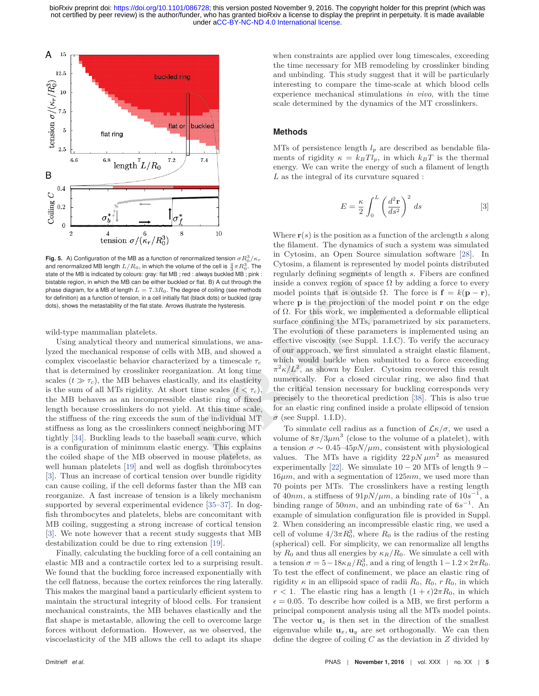

**Fig. 5.** A) Configuration of the MB as a function of renormalized tension  $\sigma R_0^3/\kappa_r$ and renormalized MB length  $L/R_0$ , in which the volume of the cell is  $\frac{4}{3}\pi R_0^3$ . The state of the MB is indicated by colours: gray: flat MB ; red : always buckled MB ; pink : bistable region, in which the MB can be either buckled or flat. B) A cut through the phase diagram, for a MB of length  $L = 7.3R_0$ . The degree of coiling (see methods for definition) as a function of tension, in a cell initially flat (black dots) or buckled (gray dots), shows the metastability of the flat state. Arrows illustrate the hysteresis.

wild-type mammalian platelets.

Using analytical theory and numerical simulations, we analyzed the mechanical response of cells with MB, and showed a complex viscoelastic behavior characterized by a timescale *τ<sup>c</sup>* that is determined by crosslinker reorganization. At long time scales  $(t \gg \tau_c)$ , the MB behaves elastically, and its elasticity is the sum of all MTs rigidity. At short time scales  $(t < \tau_c)$ , the MB behaves as an incompressible elastic ring of fixed length because crosslinkers do not yield. At this time scale, the stiffness of the ring exceeds the sum of the individual MT stiffness as long as the crosslinkers connect neighboring MT tightly [34]. Buckling leads to the baseball seam curve, which is a configuration of minimum elastic energy. This explains the coiled shape of the MB observed in mouse platelets, as well human platelets [19] and well as dogfish thrombocytes [3]. Thus an increase of cortical tension over bundle rigidity can cause coiling, if the cell deforms faster than the MB can reorganize. A fast increase of tension is a likely mechanism supported by several experimental evidence [35–37]. In dogfish thrombocytes and platelets, blebs are concomitant with MB coiling, suggesting a strong increase of cortical tension [3]. We note however that a recent study suggests that MB destabilization could be due to ring extension [19].

Finally, calculating the buckling force of a cell containing an elastic MB and a contractile cortex led to a surprising result. We found that the buckling force increased exponentially with the cell flatness, because the cortex reinforces the ring laterally. This makes the marginal band a particularly efficient system to maintain the structural integrity of blood cells. For transient mechanical constraints, the MB behaves elastically and the flat shape is metastable, allowing the cell to overcome large forces without deformation. However, as we observed, the viscoelasticity of the MB allows the cell to adapt its shape when constraints are applied over long timescales, exceeding the time necessary for MB remodeling by crosslinker binding and unbinding. This study suggest that it will be particularly interesting to compare the time-scale at which blood cells experience mechanical stimulations *in vivo*, with the time scale determined by the dynamics of the MT crosslinkers.

## **Methods**

MTs of persistence length  $l_p$  are described as bendable filaments of rigidity  $\kappa = k_B T l_p$ , in which  $k_B T$  is the thermal energy. We can write the energy of such a filament of length *L* as the integral of its curvature squared :

$$
E = \frac{\kappa}{2} \int_0^L \left(\frac{d^2 \mathbf{r}}{ds^2}\right)^2 ds
$$
 [3]

<sup>1</sup> always buckled the pink: Farther in Farther and the contents of the contents of the contents of the inside a convex region of space  $\Omega$  (black dots) o buckled (gray under the hysteresis. where **p** is the projection Where **r**(*s*) is the position as a function of the arclength *s* along the filament. The dynamics of such a system was simulated in Cytosim, an Open Source simulation software [28]. In Cytosim, a filament is represented by model points distributed regularly defining segments of length *s*. Fibers are confined inside a convex region of space  $\Omega$  by adding a force to every model points that is outside  $\Omega$ . The force is  $\mathbf{f} = k(\mathbf{p} - \mathbf{r})$ , where **p** is the projection of the model point **r** on the edge of Ω. For this work, we implemented a deformable elliptical surface confining the MTs, parametrized by six parameters. The evolution of these parameters is implemented using an effective viscosity (see Suppl. 1.I.C). To verify the accuracy of our approach, we first simulated a straight elastic filament, which would buckle when submitted to a force exceeding  $\pi^2 \kappa / L^2$ , as shown by Euler. Cytosim recovered this result numerically. For a closed circular ring, we also find that the critical tension necessary for buckling corresponds very precisely to the theoretical prediction [38]. This is also true for an elastic ring confined inside a prolate ellipsoid of tension  $\sigma$  (see Suppl. 1.I.D).

To simulate cell radius as a function of  $\mathcal{L}\kappa/\sigma$ , we used a volume of  $8\pi/3\mu m^3$  (close to the volume of a platelet), with a tension  $\sigma \sim 0.45-45pN/\mu m$ , consistent with physiological values. The MTs have a rigidity  $22 pN \mu m^2$  as measured experimentally [22]. We simulate  $10 - 20$  MTs of length 9 –  $16\mu m$ , and with a segmentation of  $125nm$ , we used more than 70 points per MTs. The crosslinkers have a resting length of 40*nm*, a stiffness of 91*pN/µm*, a binding rate of  $10s^{-1}$ , a binding range of 50*nm*, and an unbinding rate of 6*s*−<sup>1</sup>. An example of simulation configuration file is provided in Suppl. 2. When considering an incompressible elastic ring, we used a cell of volume  $4/3\pi R_0^3$ , where  $R_0$  is the radius of the resting (spherical) cell. For simplicity, we can renormalize all lengths by  $R_0$  and thus all energies by  $\kappa_R/R_0$ . We simulate a cell with a tension  $\sigma = 5 - 18\kappa_R/R_0^3$ , and a ring of length  $1 - 1.2 \times 2\pi R_0$ . To test the effect of confinement, we place an elastic ring of rigidity  $\kappa$  in an ellipsoid space of radii  $R_0, R_0, rR_0$ , in which  $r < 1$ . The elastic ring has a length  $(1 + \epsilon)2\pi R_0$ , in which  $\epsilon = 0.05$ . To describe how coiled is a MB, we first perform a principal component analysis using all the MTs model points. The vector  $\mathbf{u}_z$  is then set in the direction of the smallest eigenvalue while  $\mathbf{u}_x, \mathbf{u}_y$  are set orthogonally. We can then define the degree of coiling *C* as the deviation in *Z* divided by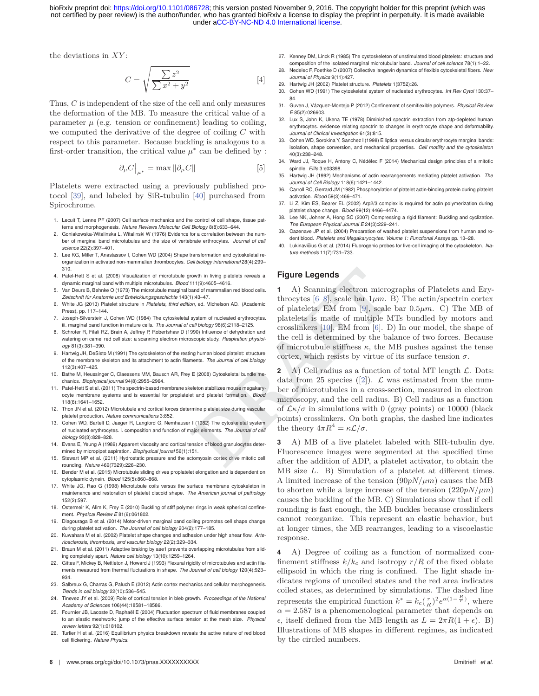the deviations in *XY* :

$$
C = \sqrt{\frac{\sum z^2}{\sum x^2 + y^2}}
$$
 [4]

Thus, *C* is independent of the size of the cell and only measures the deformation of the MB. To measure the critical value of a parameter  $\mu$  (e.g. tension or confinement) leading to coiling, we computed the derivative of the degree of coiling *C* with respect to this parameter. Because buckling is analogous to a first-order transition, the critical value  $\mu^*$  can be defined by :

$$
\partial_{\mu}C\big|_{\mu^*} = \max \|\partial_{\mu}C\| \tag{5}
$$

Platelets were extracted using a previously published protocol [39], and labeled by SiR-tubulin [40] purchased from Spirochrome.

- 1. Lecuit T, Lenne PF (2007) Cell surface mechanics and the control of cell shape, tissue patterns and morphogenesis. *Nature Reviews Molecular Cell Biology* 8(8):633–644.
- 2. Goniakowska-Witalinska L, Witalinski W (1976) Evidence for a correlation between the number of marginal band microtubules and the size of vertebrate erthrocytes. *Journal of cell science* 22(2):397–401.
- 3. Lee KG, Miller T, Anastassov I, Cohen WD (2004) Shape transformation and cytoskeletal reorganization in activated non-mammalian thrombocytes. *Cell biology international* 28(4):299– 310.
- 4. Patel-Hett S et al. (2008) Visualization of microtubule growth in living platelets reveals a dynamic marginal band with multiple microtubules. *Blood* 111(9):4605–4616.
- 5. Van Deurs B, Behnke O (1973) The microtubule marginal band of mammalian red blood cells. *Zeitschrift für Anatomie und Entwicklungsgeschichte* 143(1):43–47.
- 6. White JG (2013) Platelet structure in *Platelets, third edition*, ed. Michelson AD. (Academic Press), pp. 117–144.
- 7. Joseph-Silverstein J, Cohen WD (1984) The cytoskeletal system of nucleated erythrocytes. iii. marginal band function in mature cells. *The Journal of cell biology* 98(6):2118–2125.
- 8. Schroter R, Filali RZ, Brain A, Jeffrey P, Robertshaw D (1990) Influence of dehydration and watering on camel red cell size: a scanning electron microscopic study. *Respiration physiology* 81(3):381–390.
- 9. Hartwig JH, DeSisto M (1991) The cytoskeleton of the resting human blood platelet: structure of the membrane skeleton and its attachment to actin filaments. *The Journal of cell biology* 112(3):407–425.
- 10. Bathe M, Heussinger C, Claessens MM, Bausch AR, Frey E (2008) Cytoskeletal bundle mechanics. *Biophysical journal* 94(8):2955–2964.
- 11. Patel-Hett S et al. (2011) The spectrin-based membrane skeleton stabilizes mouse megakaryocyte membrane systems and is essential for proplatelet and platelet formation. *Blood* 118(6):1641–1652.
- 12. Thon JN et al. (2012) Microtubule and cortical forces determine platelet size during vascular platelet production. *Nature communications* 3:852.
- 13. Cohen WD, Bartelt D, Jaeger R, Langford G, Nemhauser I (1982) The cytoskeletal system of nucleated erythrocytes. i. composition and function of major elements. *The Journal of cell biology* 93(3):828–828.
- 14. Evans E, Yeung A (1989) Apparent viscosity and cortical tension of blood granulocytes determined by micropipet aspiration. *Biophysical journal* 56(1):151.
- 15. Stewart MP et al. (2011) Hydrostatic pressure and the actomyosin cortex drive mitotic cell rounding. *Nature* 469(7329):226–230.
- 16. Bender M et al. (2015) Microtubule sliding drives proplatelet elongation and is dependent on cytoplasmic dynein. *Blood* 125(5):860–868.
- 17. White JG, Rao G (1998) Microtubule coils versus the surface membrane cytoskeleton in maintenance and restoration of platelet discoid shape. *The American journal of pathology* 152(2):597.
- 18. Ostermeir K, Alim K, Frey E (2010) Buckling of stiff polymer rings in weak spherical confinement. *Physical Review E* 81(6):061802.
- 19. Diagouraga B et al. (2014) Motor-driven marginal band coiling promotes cell shape change during platelet activation. *The Journal of cell biology* 204(2):177–185.
- 20. Kuwahara M et al. (2002) Platelet shape changes and adhesion under high shear flow. *Arteriosclerosis, thrombosis, and vascular biology* 22(2):329–334.
- 21. Braun M et al. (2011) Adaptive braking by ase1 prevents overlapping microtubules from sliding completely apart. *Nature cell biology* 13(10):1259–1264.
- 22. Gittes F, Mickey B, Nettleton J, Howard J (1993) Flexural rigidity of microtubules and actin filaments measured from thermal fluctuations in shape. *The Journal of cell biology* 120(4):923– 934.
- 23. Salbreux G, Charras G, Paluch E (2012) Actin cortex mechanics and cellular morphogenesis. *Trends in cell biology* 22(10):536–545.
- 24. Tinevez JY et al. (2009) Role of cortical tension in bleb growth. *Proceedings of the National Academy of Sciences* 106(44):18581–18586.
- 25. Fournier JB, Lacoste D, Raphaël E (2004) Fluctuation spectrum of fluid membranes coupled to an elastic meshwork: jump of the effective surface tension at the mesh size. *Physical review letters* 92(1):018102.
- 26. Turlier H et al. (2016) Equilibrium physics breakdown reveals the active nature of red blood cell flickering. *Nature Physics*.
- 27. Kenney DM, Linck R (1985) The cystoskeleton of unstimulated blood platelets: structure and composition of the isolated marginal microtubular band. *Journal of cell science* 78(1):1–22.
- 28. Nedelec F, Foethke D (2007) Collective langevin dynamics of flexible cytoskeletal fibers. *New Journal of Physics* 9(11):427.
- 29. Hartwig JH (2002) Platelet structure. *Platelets* 1(3752):26.
- 30. Cohen WD (1991) The cytoskeletal system of nucleated erythrocytes. *Int Rev Cytol* 130:37– 84.
- 31. Guven J, Vázquez-Montejo P (2012) Confinement of semiflexible polymers. *Physical Review E* 85(2):026603.
- 32. Lux S, John K, Ukena TE (1978) Diminished spectrin extraction from atp-depleted human erythrocytes. evidence relating spectrin to changes in erythrocyte shape and deformability. *Journal of Clinical Investigation* 61(3):815.
- 33. Cohen WD, Sorokina Y, Sanchez I (1998) Elliptical versus circular erythrocyte marginal bands: isolation, shape conversion, and mechanical properties. *Cell motility and the cytoskeleton* 40(3):238–248.
- 34. Ward JJ, Roque H, Antony C, Nédélec F (2014) Mechanical design principles of a mitotic spindle. *Elife* 3:e03398.
- 35. Hartwig JH (1992) Mechanisms of actin rearrangements mediating platelet activation. *The Journal of Cell Biology* 118(6):1421–1442.
- 36. Carroll RC, Gerrard JM (1982) Phosphorylation of platelet actin-binding protein during platelet activation. *Blood* 59(3):466–471.
- 37. Li Z, Kim ES, Bearer EL (2002) Arp2/3 complex is required for actin polymerization during platelet shape change. *Blood* 99(12):4466–4474.
- 38. Lee NK, Johner A, Hong SC (2007) Compressing a rigid filament: Buckling and cyclization. *The European Physical Journal E* 24(3):229–241.
- 39. Cazenave JP et al. (2004) Preparation of washed platelet suspensions from human and rodent blood. *Platelets and Megakaryocytes: Volume 1: Functional Assays* pp. 13–28.
- 40. Lukinavičius G et al. (2014) Fluorogenic probes for live-cell imaging of the cytoskeleton. Na*ture methods* 11(7):731–733.

# **Figure Legends**

Figure Legends<br>
111(9):4605-4616.<br>
111(9):4605-4616.<br>
1109:4605-4616.<br>
1109:4605-4616.<br>
111(9):4605-4616.<br>
111(4):3605-4616.<br>
111(4):3605-4616.<br>
111(4):3605-471.<br>
111(4):3604-47.<br>
1211.<br>
1211.<br>
1211.<br>
1211.<br>
1211.<br>
1211.<br> **1** A) Scanning electron micrographs of Platelets and Erythrocytes  $[6-8]$ , scale bar  $1\mu$ m. B) The actin/spectrin cortex of platelets, EM from [9], scale bar 0*.*5*μm*. C) The MB of platelets is made of multiple MTs bundled by motors and crosslinkers [10], EM from [6]. D) In our model, the shape of the cell is determined by the balance of two forces. Because of microtubule stiffness  $\kappa$ , the MB pushes against the tense cortex, which resists by virtue of its surface tension  $\sigma$ .

**2** A) Cell radius as a function of total MT length  $\mathcal{L}$ . Dots: data from 25 species ([2]).  $\mathcal{L}$  was estimated from the number of microtubules in a cross-section, measured in electron microscopy, and the cell radius. B) Cell radius as a function of  $\mathcal{L}\kappa/\sigma$  in simulations with 0 (gray points) or 10000 (black points) crosslinkers. On both graphs, the dashed line indicates the theory  $4\pi R^4 = \kappa \mathcal{L}/\sigma$ .

**3** A) MB of a live platelet labeled with SIR-tubulin dye. Fluorescence images were segmented at the specified time after the addition of ADP, a platelet activator, to obtain the MB size *L*. B) Simulation of a platelet at different times. A limited increase of the tension (90*pN/μm*) causes the MB to shorten while a large increase of the tension  $(220pN/\mu m)$ causes the buckling of the MB. C) Simulations show that if cell rounding is fast enough, the MB buckles because crosslinkers cannot reorganize. This represent an elastic behavior, but at longer times, the MB rearranges, leading to a viscoelastic response.

**4** A) Degree of coiling as a function of normalized confinement stiffness  $k/k_c$  and isotropy  $r/R$  of the fixed oblate ellipsoid in which the ring is confined. The light shade indicates regions of uncoiled states and the red area indicates coiled states, as determined by simulations. The dashed line represents the empirical function  $k^* = k_c(\frac{r}{R})^2 e^{\alpha(1-\frac{R}{r})}$ , where  $\alpha = 2.587$  is a phenomenological parameter that depends on  $\epsilon$ , itself defined from the MB length as  $L = 2\pi R(1 + \epsilon)$ . B) Illustrations of MB shapes in different regimes, as indicated by the circled numbers.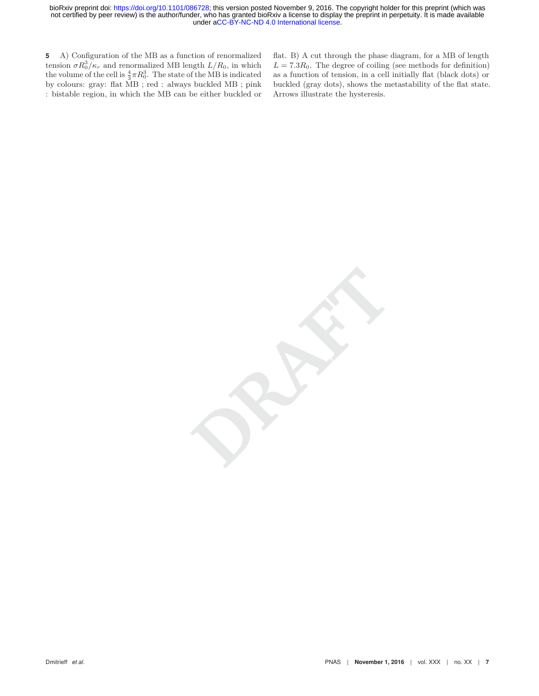**5** A) Configuration of the MB as a function of renormalized tension  $\sigma R_0^3 / \kappa_r$  and renormalized MB length  $L/R_0$ , in which the volume of the cell is  $\frac{4}{3}\pi R_0^3$ . The state of the MB is indicated by colours: gray: flat MB ; red : always buckled MB ; pink : bistable region, in which the MB can be either buckled or flat. B) A cut through the phase diagram, for a MB of length  $L = 7.3R_0$ . The degree of coiling (see methods for definition) as a function of tension, in a cell initially flat (black dots) or buckled (gray dots), shows the metastability of the flat state. Arrows illustrate the hysteresis.

**DRAFT**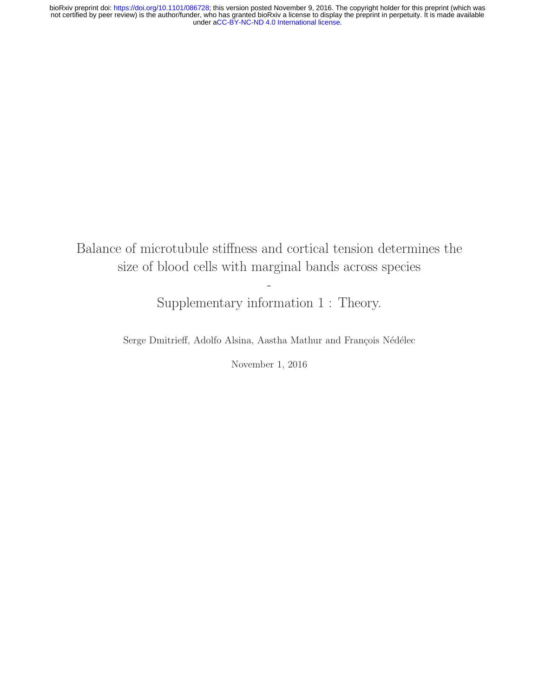Balance of microtubule stiffness and cortical tension determines the size of blood cells with marginal bands across species

Supplementary information 1 : Theory.

-

Serge Dmitrieff, Adolfo Alsina, Aastha Mathur and François Nédélec

November 1, 2016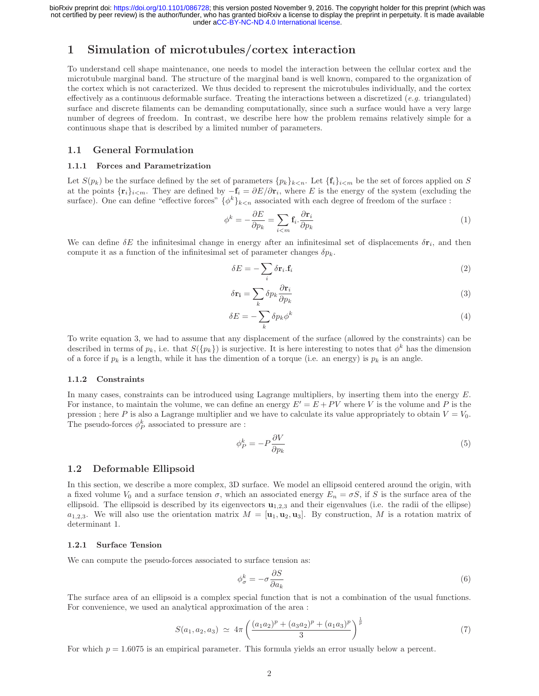# **1 Simulation of microtubules/cortex interaction**

To understand cell shape maintenance, one needs to model the interaction between the cellular cortex and the microtubule marginal band. The structure of the marginal band is well known, compared to the organization of the cortex which is not caracterized. We thus decided to represent the microtubules individually, and the cortex effectively as a continuous deformable surface. Treating the interactions between a discretized  $(e.g.$  triangulated) surface and discrete filaments can be demanding computationally, since such a surface would have a very large number of degrees of freedom. In contrast, we describe here how the problem remains relatively simple for a continuous shape that is described by a limited number of parameters.

# **1.1 General Formulation**

#### **1.1.1 Forces and Parametrization**

Let  $S(p_k)$  be the surface defined by the set of parameters  $\{p_k\}_{k\lt n}$ . Let  $\{\mathbf{f}_i\}_{i\lt m}$  be the set of forces applied on S at the points  ${\{\mathbf{r}_i\}}_{i \leq m}$ . They are defined by  $-\mathbf{f}_i = \partial E/\partial \mathbf{r}_i$ , where E is the energy of the system (excluding the surface). One can define "effective forces"  $\{\phi^k\}_{k\leq n}$  associated with each degree of freedom of the surface :

$$
\phi^k = -\frac{\partial E}{\partial p_k} = \sum_{i < m} \mathbf{f}_i \cdot \frac{\partial \mathbf{r}_i}{\partial p_k} \tag{1}
$$

We can define  $\delta E$  the infinitesimal change in energy after an infinitesimal set of displacements  $\delta \mathbf{r}_i$ , and then compute it as a function of the infinitesimal set of parameter changes  $\delta p_k$ .

$$
\delta E = -\sum_{i} \delta \mathbf{r}_{i} \cdot \mathbf{f}_{i} \tag{2}
$$

$$
\delta \mathbf{r_i} = \sum_k \delta p_k \frac{\partial \mathbf{r}_i}{\partial p_k} \tag{3}
$$

$$
\delta E = -\sum_{k} \delta p_k \phi^k \tag{4}
$$

To write equation 3, we had to assume that any displacement of the surface (allowed by the constraints) can be described in terms of  $p_k$ , i.e. that  $S({p_k})$  is surjective. It is here interesting to notes that  $\phi^k$  has the dimension of a force if  $p_k$  is a length, while it has the dimention of a torque (i.e. an energy) is  $p_k$  is an angle.

#### **1.1.2 Constraints**

In many cases, constraints can be introduced using Lagrange multipliers, by inserting them into the energy  $E$ . For instance, to maintain the volume, we can define an energy  $E' = E + PV$  where V is the volume and P is the pression ; here P is also a Lagrange multiplier and we have to calculate its value appropriately to obtain  $V = V_0$ . The pseudo-forces  $\phi_P^k$  associated to pressure are :

$$
\phi_P^k = -P \frac{\partial V}{\partial p_k} \tag{5}
$$

# **1.2 Deformable Ellipsoid**

In this section, we describe a more complex, 3D surface. We model an ellipsoid centered around the origin, with a fixed volume  $V_0$  and a surface tension  $\sigma$ , which an associated energy  $E_n = \sigma S$ , if S is the surface area of the ellipsoid. The ellipsoid is described by its eigenvectors **<sup>u</sup>**1,2,<sup>3</sup> and their eigenvalues (i.e. the radii of the ellipse)  $a_{1,2,3}$ . We will also use the orientation matrix  $M = [\mathbf{u}_1, \mathbf{u}_2, \mathbf{u}_3]$ . By construction, M is a rotation matrix of determinant 1.

# **1.2.1 Surface Tension**

We can compute the pseudo-forces associated to surface tension as:

$$
\phi_{\sigma}^{k} = -\sigma \frac{\partial S}{\partial a_{k}} \tag{6}
$$

The surface area of an ellipsoid is a complex special function that is not a combination of the usual functions. For convenience, we used an analytical approximation of the area :

$$
S(a_1, a_2, a_3) \simeq 4\pi \left( \frac{(a_1 a_2)^p + (a_3 a_2)^p + (a_1 a_3)^p}{3} \right)^{\frac{1}{p}} \tag{7}
$$

For which  $p = 1.6075$  is an empirical parameter. This formula yields an error usually below a percent.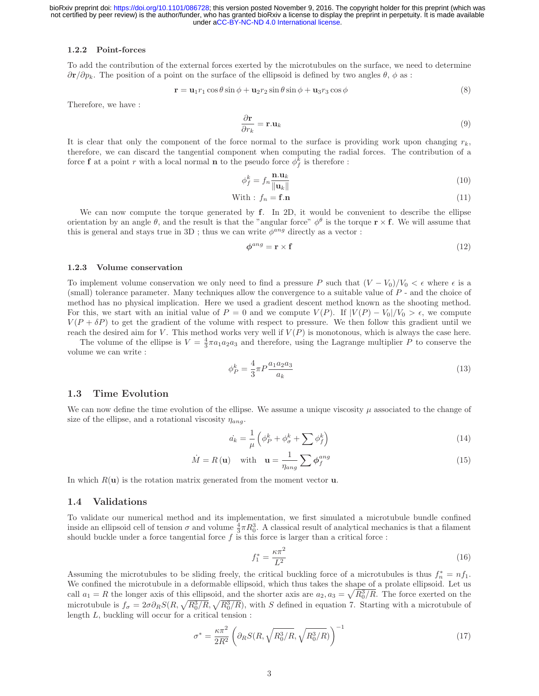#### **1.2.2 Point-forces**

To add the contribution of the external forces exerted by the microtubules on the surface, we need to determine  $\partial \mathbf{r}/\partial p_k$ . The position of a point on the surface of the ellipsoid is defined by two angles  $\theta$ ,  $\phi$  as :

$$
\mathbf{r} = \mathbf{u}_1 r_1 \cos \theta \sin \phi + \mathbf{u}_2 r_2 \sin \theta \sin \phi + \mathbf{u}_3 r_3 \cos \phi \tag{8}
$$

Therefore, we have :

$$
\frac{\partial \mathbf{r}}{\partial r_k} = \mathbf{r} \cdot \mathbf{u}_k \tag{9}
$$

It is clear that only the component of the force normal to the surface is providing work upon changing  $r_k$ , therefore, we can discard the tangential component when computing the radial forces. The contribution of a force **f** at a point r with a local normal **n** to the pseudo force  $\phi_f^k$  is therefore :

$$
\phi_f^k = f_n \frac{\mathbf{n} \cdot \mathbf{u}_k}{\|\mathbf{u}_k\|} \tag{10}
$$

With : 
$$
f_n = \mathbf{f}.\mathbf{n}
$$
 (11)

We can now compute the torque generated by **f**. In 2D, it would be convenient to describe the ellipse orientation by an angle  $\theta$ , and the result is that the "angular force"  $\phi^{\theta}$  is the torque **r** × **f**. We will assume that this is general and stays true in 3D ; thus we can write  $\phi^{ang}$  directly as a vector :

$$
\phi^{ang} = \mathbf{r} \times \mathbf{f} \tag{12}
$$

#### **1.2.3 Volume conservation**

To implement volume conservation we only need to find a pressure P such that  $(V - V_0)/V_0 < \epsilon$  where  $\epsilon$  is a (small) tolerance parameter. Many techniques allow the convergence to a suitable value of P - and the choice of method has no physical implication. Here we used a gradient descent method known as the shooting method. For this, we start with an initial value of  $P = 0$  and we compute  $V(P)$ . If  $|V(P) - V_0|/V_0 > \epsilon$ , we compute  $V(P + \delta P)$  to get the gradient of the volume with respect to pressure. We then follow this gradient until we reach the desired aim for V. This method works very well if  $V(P)$  is monotonous, which is always the case here.

The volume of the ellipse is  $V = \frac{4}{3}\pi a_1 a_2 a_3$  and therefore, using the Lagrange multiplier P to conserve the volume we can write :

$$
\phi_P^k = \frac{4}{3}\pi P \frac{a_1 a_2 a_3}{a_k} \tag{13}
$$

## **1.3 Time Evolution**

We can now define the time evolution of the ellipse. We assume a unique viscosity  $\mu$  associated to the change of size of the ellipse, and a rotational viscosity  $\eta_{ana}$ .

$$
\dot{a_k} = \frac{1}{\mu} \left( \phi_P^k + \phi_\sigma^k + \sum \phi_f^k \right) \tag{14}
$$

$$
\dot{M} = R(\mathbf{u}) \quad \text{with} \quad \mathbf{u} = \frac{1}{\eta_{ang}} \sum \phi_f^{ang} \tag{15}
$$

In which  $R(\mathbf{u})$  is the rotation matrix generated from the moment vector  $\mathbf{u}$ .

# **1.4 Validations**

To validate our numerical method and its implementation, we first simulated a microtubule bundle confined inside an ellipsoid cell of tension  $\sigma$  and volume  $\frac{4}{3}\pi R_0^3$ . A classical result of analytical mechanics is that a filament should buckle under a force tangential force  $f$  is this force is larger than a critical force :

$$
f_1^* = \frac{\kappa \pi^2}{L^2} \tag{16}
$$

Assuming the microtubules to be sliding freely, the critical buckling force of a microtubules is thus  $f_n^* = nf_1$ .<br>We confined the microtubule in a deformable ellipsoid, which thus takes the shape of a prolate ellipsoid. L We confined the microtubule in a deformable ellipsoid, which thus takes the shape of a prolate ellipsoid. Let us call  $a_1 = R$  the longer axis of this ellipsoid, and the shorter axis are  $a_2, a_3 = \sqrt{R_0^3/R}$ . The force exerted on the microtubule is  $f_{\sigma} = 2\sigma \partial_R S(R, \sqrt{R_0^3/R}, \sqrt{R_0^3/R})$ , with S defined in equation 7. Starting with a microtubule of length L, buckling will occur for a critical tension :

$$
\sigma^* = \frac{\kappa \pi^2}{2R^2} \left( \partial_R S(R, \sqrt{R_0^3/R}, \sqrt{R_0^3/R}) \right)^{-1} \tag{17}
$$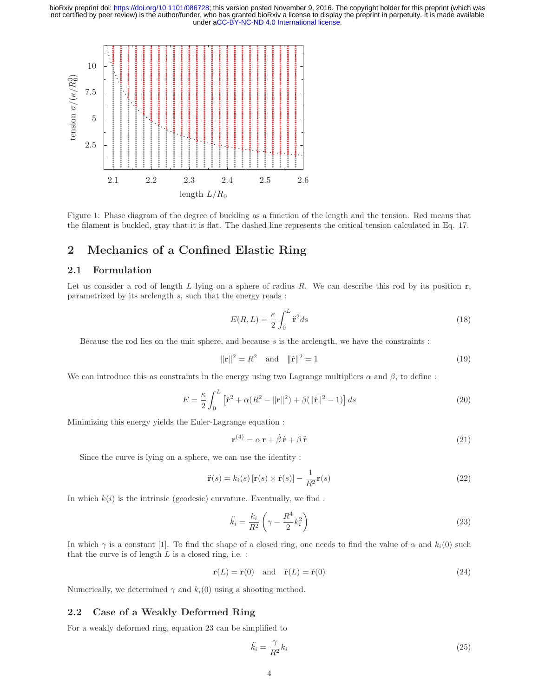

Figure 1: Phase diagram of the degree of buckling as a function of the length and the tension. Red means that the filament is buckled, gray that it is flat. The dashed line represents the critical tension calculated in Eq. 17.

# **2 Mechanics of a Confined Elastic Ring**

# **2.1 Formulation**

Let us consider a rod of length  $L$  lying on a sphere of radius  $R$ . We can describe this rod by its position  $r$ , parametrized by its arclength s, such that the energy reads :

$$
E(R, L) = \frac{\kappa}{2} \int_0^L \ddot{\mathbf{r}}^2 ds \tag{18}
$$

Because the rod lies on the unit sphere, and because  $s$  is the arclength, we have the constraints :

$$
\|\mathbf{r}\|^2 = R^2 \quad \text{and} \quad \|\dot{\mathbf{r}}\|^2 = 1 \tag{19}
$$

We can introduce this as constraints in the energy using two Lagrange multipliers  $\alpha$  and  $\beta$ , to define :

$$
E = \frac{\kappa}{2} \int_0^L \left[ \ddot{\mathbf{r}}^2 + \alpha (R^2 - ||\mathbf{r}||^2) + \beta (||\dot{\mathbf{r}}||^2 - 1) \right] ds \tag{20}
$$

Minimizing this energy yields the Euler-Lagrange equation :

$$
\mathbf{r}^{(4)} = \alpha \,\mathbf{r} + \dot{\beta} \,\dot{\mathbf{r}} + \beta \,\ddot{\mathbf{r}} \tag{21}
$$

Since the curve is lying on a sphere, we can use the identity :

$$
\ddot{\mathbf{r}}(s) = k_i(s) \left[ \mathbf{r}(s) \times \dot{\mathbf{r}}(s) \right] - \frac{1}{R^2} \mathbf{r}(s)
$$
\n(22)

In which  $k(i)$  is the intrinsic (geodesic) curvature. Eventually, we find :

$$
\ddot{k}_i = \frac{k_i}{R^2} \left( \gamma - \frac{R^4}{2} k_i^2 \right) \tag{23}
$$

In which  $\gamma$  is a constant [1]. To find the shape of a closed ring, one needs to find the value of  $\alpha$  and  $k_i(0)$  such that the curve is of length  $L$  is a closed ring, i.e. :

$$
\mathbf{r}(L) = \mathbf{r}(0) \quad \text{and} \quad \dot{\mathbf{r}}(L) = \dot{\mathbf{r}}(0) \tag{24}
$$

Numerically, we determined  $\gamma$  and  $k_i(0)$  using a shooting method.

## **2.2 Case of a Weakly Deformed Ring**

For a weakly deformed ring, equation 23 can be simplified to

$$
\ddot{k_i} = \frac{\gamma}{R^2} k_i \tag{25}
$$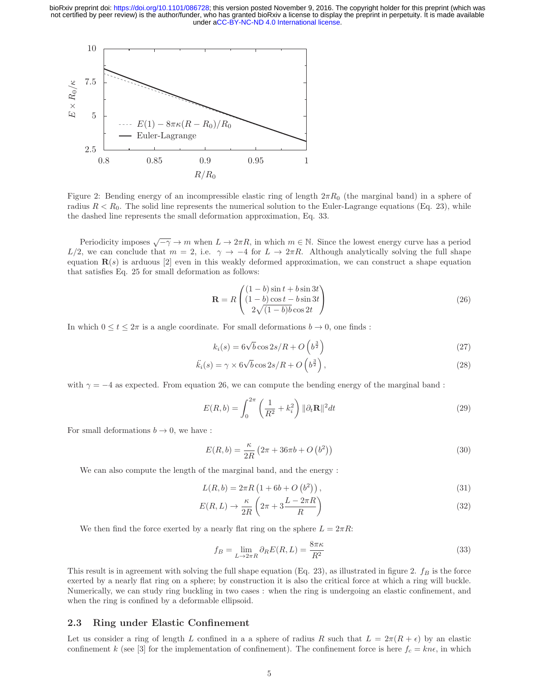

Figure 2: Bending energy of an incompressible elastic ring of length  $2\pi R_0$  (the marginal band) in a sphere of radius  $R < R_0$ . The solid line represents the numerical solution to the Euler-Lagrange equations (Eq. 23), while the dashed line represents the small deformation approximation, Eq. 33.

Periodicity imposes  $\sqrt{-\gamma} \to m$  when  $L \to 2\pi R$ , in which  $m \in \mathbb{N}$ . Since the lowest energy curve has a period  $L/2$ , we can conclude that  $m = 2$ , i.e.  $\gamma \to -4$  for  $L \to 2\pi R$ . Although analytically solving the full shape equation  $\mathbf{R}(s)$  is arduous [2] even in this weakly deformed approximation, we can construct a shape equation that satisfies Eq. 25 for small deformation as follows:

$$
\mathbf{R} = R \begin{pmatrix} (1-b)\sin t + b\sin 3t \\ (1-b)\cos t - b\sin 3t \\ 2\sqrt{(1-b)b}\cos 2t \end{pmatrix}
$$
 (26)

In which  $0 \le t \le 2\pi$  is a angle coordinate. For small deformations  $b \to 0$ , one finds:

$$
k_i(s) = 6\sqrt{b}\cos 2s/R + O\left(b^{\frac{3}{2}}\right)
$$
\n(27)

$$
\ddot{k_i}(s) = \gamma \times 6\sqrt{b}\cos 2s/R + O\left(b^{\frac{3}{2}}\right),\tag{28}
$$

with  $\gamma = -4$  as expected. From equation 26, we can compute the bending energy of the marginal band :

$$
E(R,b) = \int_0^{2\pi} \left(\frac{1}{R^2} + k_i^2\right) \|\partial_t \mathbf{R}\|^2 dt
$$
\n(29)

For small deformations  $b \to 0$ , we have :

$$
E(R, b) = \frac{\kappa}{2R} (2\pi + 36\pi b + O(b^2))
$$
\n(30)

We can also compute the length of the marginal band, and the energy :

$$
L(R, b) = 2\pi R \left(1 + 6b + O\left(b^2\right)\right),\tag{31}
$$

$$
E(R,L) \to \frac{\kappa}{2R} \left(2\pi + 3\frac{L - 2\pi R}{R}\right)
$$
\n(32)

We then find the force exerted by a nearly flat ring on the sphere  $L = 2\pi R$ :

$$
f_B = \lim_{L \to 2\pi R} \partial_R E(R, L) = \frac{8\pi\kappa}{R^2}
$$
\n(33)

This result is in agreement with solving the full shape equation (Eq. 23), as illustrated in figure 2.  $f_B$  is the force exerted by a nearly flat ring on a sphere; by construction it is also the critical force at which a ring will buckle. Numerically, we can study ring buckling in two cases : when the ring is undergoing an elastic confinement, and when the ring is confined by a deformable ellipsoid.

# **2.3 Ring under Elastic Confinement**

Let us consider a ring of length L confined in a a sphere of radius R such that  $L = 2\pi(R + \epsilon)$  by an elastic confinement k (see [3] for the implementation of confinement). The confinement force is here  $f_c = kn\epsilon$ , in which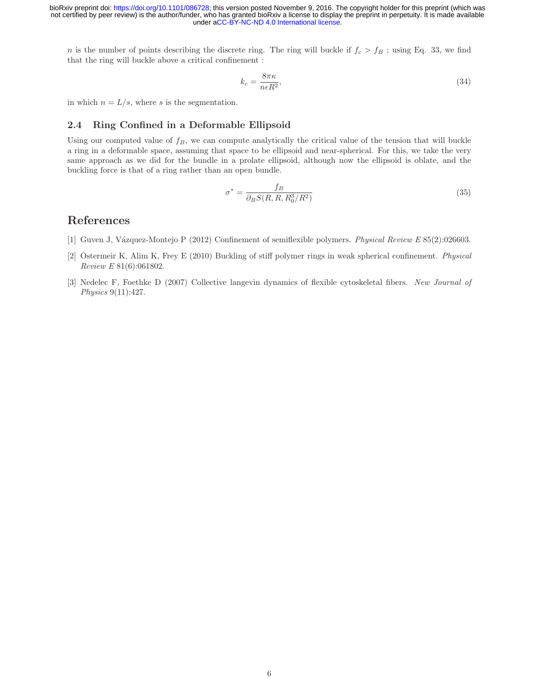n is the number of points describing the discrete ring. The ring will buckle if  $f_c > f_B$ ; using Eq. 33, we find that the ring will buckle above a critical confinement :

$$
k_c = \frac{8\pi\kappa}{n\epsilon R^2},\tag{34}
$$

in which  $n = L/s$ , where s is the segmentation.

# **2.4 Ring Confined in a Deformable Ellipsoid**

Using our computed value of  $f_B$ , we can compute analytically the critical value of the tension that will buckle a ring in a deformable space, assuming that space to be ellipsoid and near-spherical. For this, we take the very same approach as we did for the bundle in a prolate ellipsoid, although now the ellipsoid is oblate, and the buckling force is that of a ring rather than an open bundle.

$$
\sigma^* = \frac{f_B}{\partial_R S(R, R, R_0^3/R^2)}\tag{35}
$$

# **References**

- [1] Guven J, V´azquez-Montejo P (2012) Confinement of semiflexible polymers. Physical Review E 85(2):026603.
- [2] Ostermeir K, Alim K, Frey E (2010) Buckling of stiff polymer rings in weak spherical confinement. Physical Review E 81(6):061802.
- [3] Nedelec F, Foethke D (2007) Collective langevin dynamics of flexible cytoskeletal fibers. New Journal of Physics 9(11):427.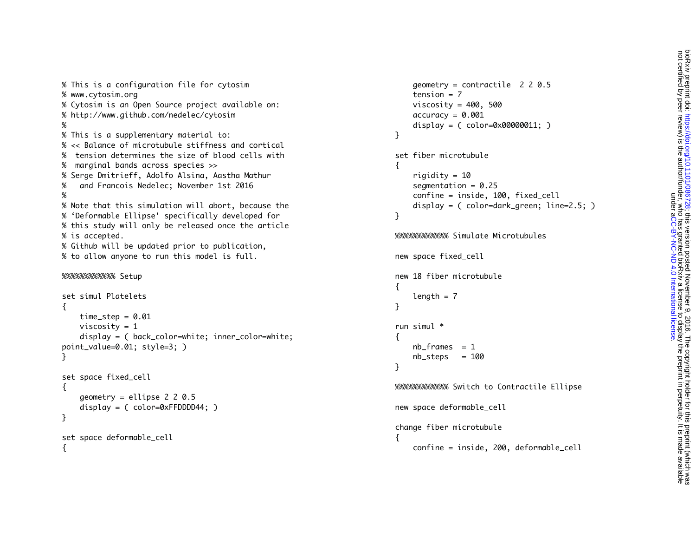% This is a configuration file for cytosim % www.cytosim.org % Cytosim is an Open Source project available on: % http://www.github.com/nedelec/cytosim % This is a supplementary material to: % << Balance of microtubule stiffness and cortical% tension determines the size of blood cells with% marginal bands across species >> % Serge Dmitrieff, Adolfo Alsina, Aastha Mathur % and Francois Nedelec; November 1st 2016 % Note that this simulation will abort, because the % 'Deformable Ellipse' specifically developed for % this study will only be released once the article % is accepted. % Github will be updated prior to publication, % to allow anyone to run this model is full. %%%%%%%%%%%% Setup

```
set simul Platelets{
    time\_step = 0.01 viscosity = 1
     display = ( back_color=white; inner_color=white; 
point_value=0.01; style=3; )
}
set space fixed_cell
{
     geometry = ellipse 2 2 0.5
     display = ( color=0xFFDDDD44; )
}
set space deformable_cell
```
{

%

%

```
 geometry = contractile 2 2 0.5
    tension = 7viscosity = 400, 500accuracy = 0.001 display = ( color=0x00000011; )
}
set fiber microtubule\{riqidity = 10segmentation = 0.25 confine = inside, 100, fixed_cell
     display = ( color=dark_green; line=2.5; )
}
%%%%%%%%%%%% Simulate Microtubulesnew space fixed_cell
new 18 fiber microtubule{
    length = 7}
run simul *\mathfrak{f}nb_frames = 1
    nb\_steps = 100}
%%%%%%%%%%%% Switch to Contractile Ellipse
new space deformable_cell
change fiber microtubule
\mathfrak{f} confine = inside, 200, deformable_cell
```